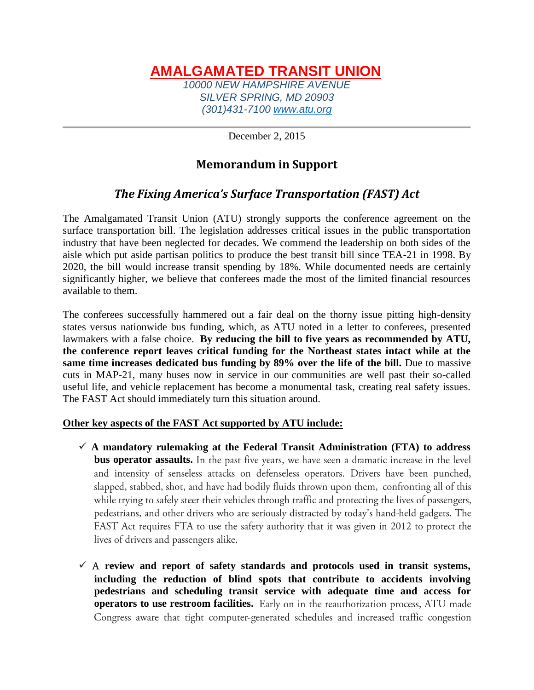## **AMALGAMATED TRANSIT UNION** *10000 NEW HAMPSHIRE AVENUE SILVER SPRING, MD 20903 (301)431-7100 [www.atu.org](http://www.atu.org/)*

December 2, 2015

## **Memorandum in Support**

## *The Fixing America's Surface Transportation (FAST) Act*

The Amalgamated Transit Union (ATU) strongly supports the conference agreement on the surface transportation bill. The legislation addresses critical issues in the public transportation industry that have been neglected for decades. We commend the leadership on both sides of the aisle which put aside partisan politics to produce the best transit bill since TEA-21 in 1998. By 2020, the bill would increase transit spending by 18%. While documented needs are certainly significantly higher, we believe that conferees made the most of the limited financial resources available to them.

The conferees successfully hammered out a fair deal on the thorny issue pitting high-density states versus nationwide bus funding, which, as ATU noted in a letter to conferees, presented lawmakers with a false choice. **By reducing the bill to five years as recommended by ATU, the conference report leaves critical funding for the Northeast states intact while at the same time increases dedicated bus funding by 89% over the life of the bill.** Due to massive cuts in MAP-21, many buses now in service in our communities are well past their so-called useful life, and vehicle replacement has become a monumental task, creating real safety issues. The FAST Act should immediately turn this situation around.

## **Other key aspects of the FAST Act supported by ATU include:**

- $\checkmark$  A mandatory rulemaking at the Federal Transit Administration (FTA) to address **bus operator assaults.** In the past five years, we have seen a dramatic increase in the level and intensity of senseless attacks on defenseless operators. Drivers have been punched, slapped, stabbed, shot, and have had bodily fluids thrown upon them, confronting all of this while trying to safely steer their vehicles through traffic and protecting the lives of passengers, pedestrians, and other drivers who are seriously distracted by today's hand-held gadgets. The FAST Act requires FTA to use the safety authority that it was given in 2012 to protect the lives of drivers and passengers alike.
- $\checkmark$  A review and report of safety standards and protocols used in transit systems, **including the reduction of blind spots that contribute to accidents involving pedestrians and scheduling transit service with adequate time and access for operators to use restroom facilities.** Early on in the reauthorization process, ATU made Congress aware that tight computer-generated schedules and increased traffic congestion